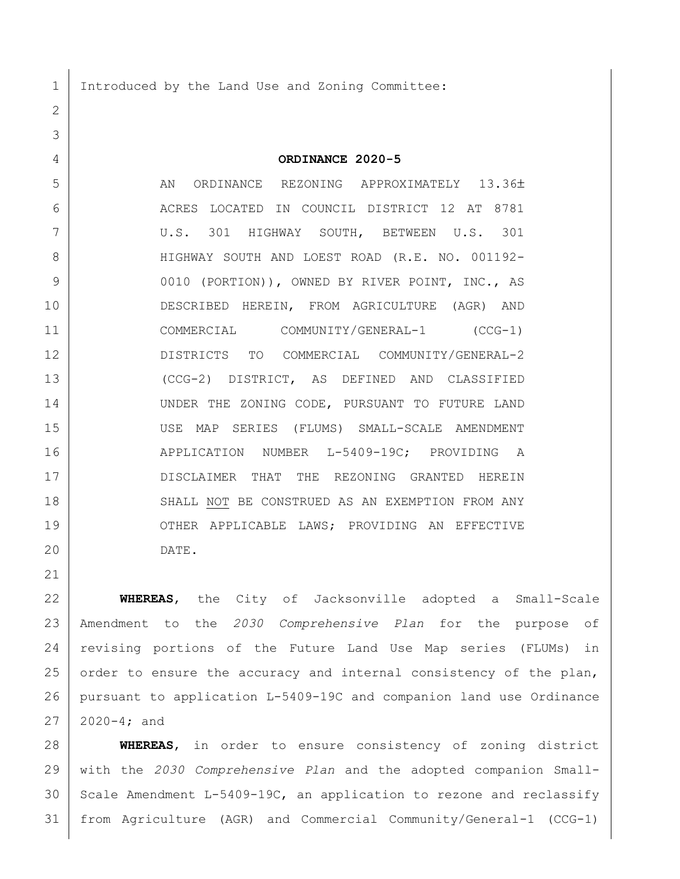1 Introduced by the Land Use and Zoning Committee:

**ORDINANCE 2020-5**

5 AN ORDINANCE REZONING APPROXIMATELY 13.36± ACRES LOCATED IN COUNCIL DISTRICT 12 AT 8781 U.S. 301 HIGHWAY SOUTH, BETWEEN U.S. 301 HIGHWAY SOUTH AND LOEST ROAD (R.E. NO. 001192- 9 0010 (PORTION)), OWNED BY RIVER POINT, INC., AS DESCRIBED HEREIN, FROM AGRICULTURE (AGR) AND COMMERCIAL COMMUNITY/GENERAL-1 (CCG-1) DISTRICTS TO COMMERCIAL COMMUNITY/GENERAL-2 (CCG-2) DISTRICT, AS DEFINED AND CLASSIFIED 14 UNDER THE ZONING CODE, PURSUANT TO FUTURE LAND USE MAP SERIES (FLUMS) SMALL-SCALE AMENDMENT APPLICATION NUMBER L-5409-19C; PROVIDING A 17 | DISCLAIMER THAT THE REZONING GRANTED HEREIN 18 SHALL NOT BE CONSTRUED AS AN EXEMPTION FROM ANY 19 OTHER APPLICABLE LAWS; PROVIDING AN EFFECTIVE DATE.

 **WHEREAS**, the City of Jacksonville adopted a Small-Scale Amendment to the *2030 Comprehensive Plan* for the purpose of revising portions of the Future Land Use Map series (FLUMs) in 25 order to ensure the accuracy and internal consistency of the plan, pursuant to application L-5409-19C and companion land use Ordinance 2020-4; and

 **WHEREAS**, in order to ensure consistency of zoning district with the *2030 Comprehensive Plan* and the adopted companion Small- Scale Amendment L-5409-19C, an application to rezone and reclassify from Agriculture (AGR) and Commercial Community/General-1 (CCG-1)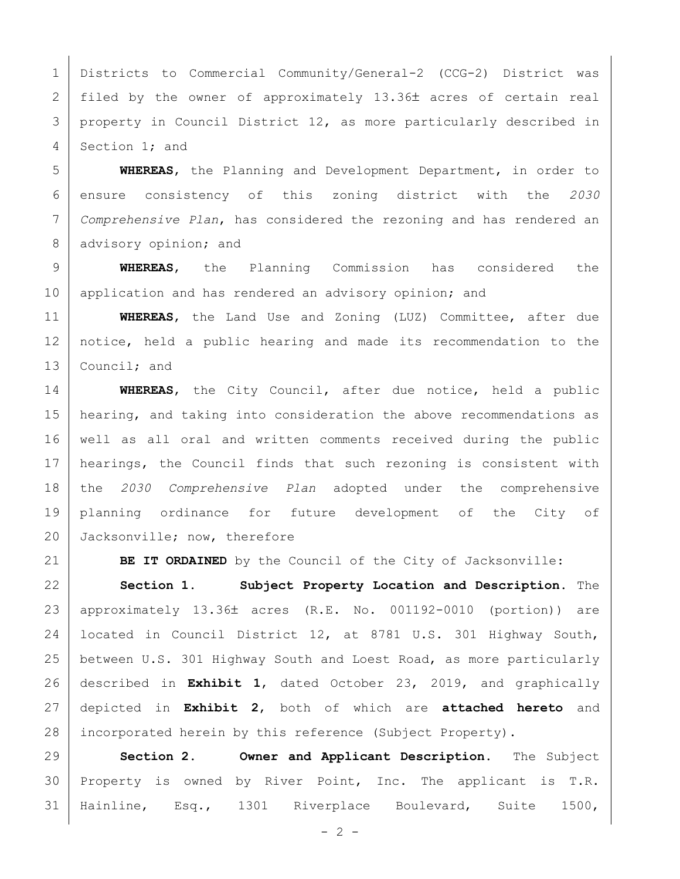Districts to Commercial Community/General-2 (CCG-2) District was 2 | filed by the owner of approximately  $13.36\pm$  acres of certain real 3 property in Council District 12, as more particularly described in 4 Section 1; and

 **WHEREAS**, the Planning and Development Department, in order to ensure consistency of this zoning district with the *2030 Comprehensive Plan*, has considered the rezoning and has rendered an 8 advisory opinion; and

 **WHEREAS**, the Planning Commission has considered the 10 application and has rendered an advisory opinion; and

 **WHEREAS**, the Land Use and Zoning (LUZ) Committee, after due notice, held a public hearing and made its recommendation to the 13 Council; and

 **WHEREAS**, the City Council, after due notice, held a public 15 | hearing, and taking into consideration the above recommendations as well as all oral and written comments received during the public 17 | hearings, the Council finds that such rezoning is consistent with the *2030 Comprehensive Plan* adopted under the comprehensive planning ordinance for future development of the City of 20 Jacksonville; now, therefore

**BE IT ORDAINED** by the Council of the City of Jacksonville:

 **Section 1. Subject Property Location and Description.** The approximately 13.36 acres (R.E. No. 001192-0010 (portion)) are located in Council District 12, at 8781 U.S. 301 Highway South, between U.S. 301 Highway South and Loest Road, as more particularly described in **Exhibit 1**, dated October 23, 2019, and graphically depicted in **Exhibit 2**, both of which are **attached hereto** and 28 incorporated herein by this reference (Subject Property).

 **Section 2. Owner and Applicant Description.** The Subject Property is owned by River Point, Inc. The applicant is T.R. Hainline, Esq., 1301 Riverplace Boulevard, Suite 1500,

 $- 2 -$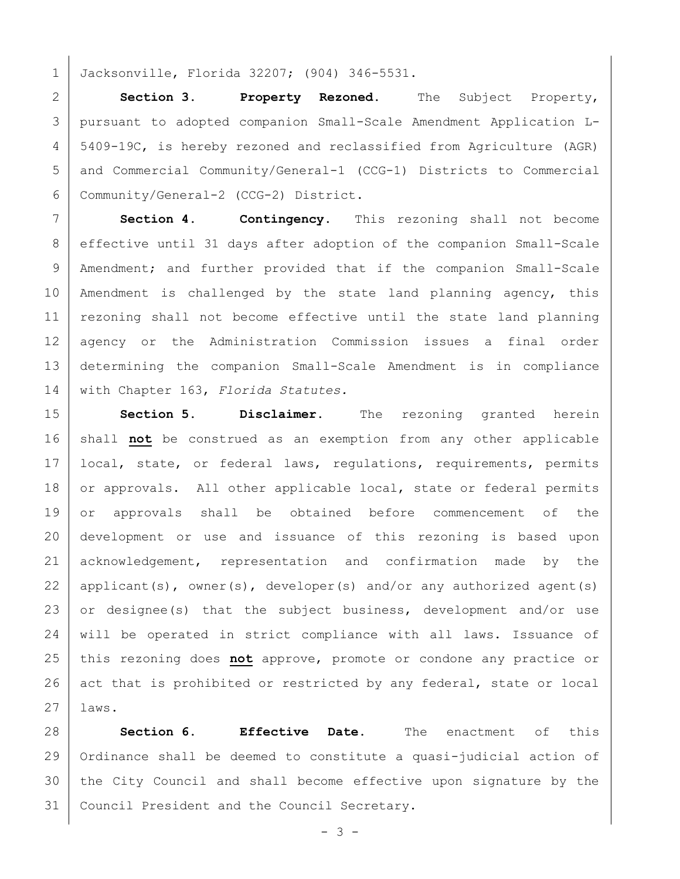1 Jacksonville, Florida 32207; (904) 346-5531.

 **Section 3. Property Rezoned.** The Subject Property, pursuant to adopted companion Small-Scale Amendment Application L- 5409-19C, is hereby rezoned and reclassified from Agriculture (AGR) and Commercial Community/General-1 (CCG-1) Districts to Commercial Community/General-2 (CCG-2) District.

7 **Section 4. Contingency.** This rezoning shall not become 8 | effective until 31 days after adoption of the companion Small-Scale 9 | Amendment; and further provided that if the companion Small-Scale 10 | Amendment is challenged by the state land planning agency, this 11 | rezoning shall not become effective until the state land planning 12 agency or the Administration Commission issues a final order 13 determining the companion Small-Scale Amendment is in compliance 14 with Chapter 163, *Florida Statutes.*

15 **Section 5. Disclaimer.** The rezoning granted herein 16 shall **not** be construed as an exemption from any other applicable 17 | local, state, or federal laws, regulations, requirements, permits 18 or approvals. All other applicable local, state or federal permits 19 or approvals shall be obtained before commencement of the 20 development or use and issuance of this rezoning is based upon 21 acknowledgement, representation and confirmation made by the 22 | applicant(s), owner(s), developer(s) and/or any authorized agent(s) 23 or designee(s) that the subject business, development and/or use 24 will be operated in strict compliance with all laws. Issuance of 25 this rezoning does **not** approve, promote or condone any practice or 26 act that is prohibited or restricted by any federal, state or local  $27$  laws.

 **Section 6. Effective Date.** The enactment of this Ordinance shall be deemed to constitute a quasi-judicial action of 30 the City Council and shall become effective upon signature by the Council President and the Council Secretary.

- 3 -